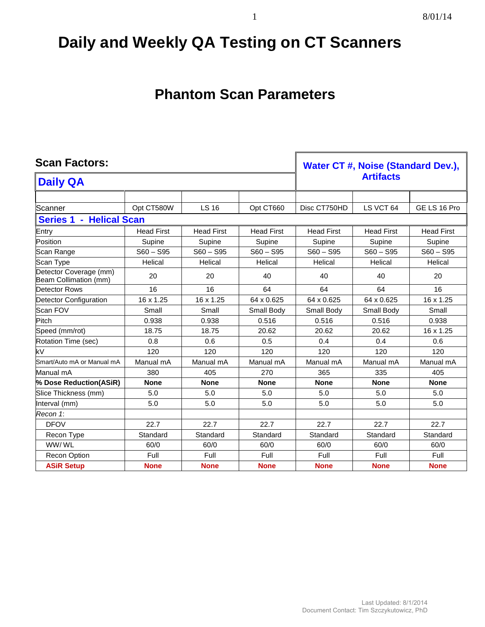## **Daily and Weekly QA Testing on CT Scanners**

## **Phantom Scan Parameters**

# Scan Factors: *Water CT #, Noise (Standard Dev.), Water CT #, Noise (Standard Dev.),* **Artifacts Daily QA**

| Scanner                                         | Opt CT580W        | <b>LS 16</b>      | Opt CT660         | Disc CT750HD      | LS VCT 64         | GE LS 16 Pro      |
|-------------------------------------------------|-------------------|-------------------|-------------------|-------------------|-------------------|-------------------|
| - Helical Scan<br><b>Series 1</b>               |                   |                   |                   |                   |                   |                   |
| Entry                                           | <b>Head First</b> | <b>Head First</b> | <b>Head First</b> | <b>Head First</b> | <b>Head First</b> | <b>Head First</b> |
| Position                                        | Supine            | Supine            | Supine            | Supine            | Supine            | Supine            |
| Scan Range                                      | $S60 - S95$       | $S60 - S95$       | $S60 - S95$       | $S60 - S95$       | $S60 - S95$       | $S60 - S95$       |
| Scan Type                                       | Helical           | Helical           | Helical           | Helical           | Helical           | Helical           |
| Detector Coverage (mm)<br>Beam Collimation (mm) | 20                | 20                | 40                | 40                | 40                | 20                |
| Detector Rows                                   | 16                | 16                | 64                | 64                | 64                | 16                |
| <b>Detector Configuration</b>                   | 16 x 1.25         | 16 x 1.25         | 64 x 0.625        | 64 x 0.625        | 64 x 0.625        | 16 x 1.25         |
| Scan FOV                                        | Small             | Small             | Small Body        | Small Body        | Small Body        | Small             |
| Pitch                                           | 0.938             | 0.938             | 0.516             | 0.516             | 0.516             | 0.938             |
| Speed (mm/rot)                                  | 18.75             | 18.75             | 20.62             | 20.62             | 20.62             | 16 x 1.25         |
| Rotation Time (sec)                             | 0.8               | 0.6               | 0.5               | 0.4               | 0.4               | 0.6               |
| kV                                              | 120               | 120               | 120               | 120               | 120               | 120               |
| Smart/Auto mA or Manual mA                      | Manual mA         | Manual mA         | Manual mA         | Manual mA         | Manual mA         | Manual mA         |
| Manual mA                                       | 380               | 405               | 270               | 365               | 335               | 405               |
| % Dose Reduction(ASiR)                          | <b>None</b>       | <b>None</b>       | <b>None</b>       | <b>None</b>       | <b>None</b>       | <b>None</b>       |
| Slice Thickness (mm)                            | 5.0               | 5.0               | 5.0               | 5.0               | 5.0               | 5.0               |
| Interval (mm)                                   | 5.0               | 5.0               | 5.0               | 5.0               | 5.0               | 5.0               |
| Recon 1:                                        |                   |                   |                   |                   |                   |                   |
| <b>DFOV</b>                                     | 22.7              | 22.7              | 22.7              | 22.7              | 22.7              | 22.7              |
| Recon Type                                      | Standard          | Standard          | Standard          | Standard          | Standard          | Standard          |
| WW/WL                                           | 60/0              | 60/0              | 60/0              | 60/0              | 60/0              | 60/0              |
| Recon Option                                    | Full              | Full              | Full              | Full              | Full              | Full              |
| <b>ASiR Setup</b>                               | <b>None</b>       | <b>None</b>       | <b>None</b>       | <b>None</b>       | <b>None</b>       | <b>None</b>       |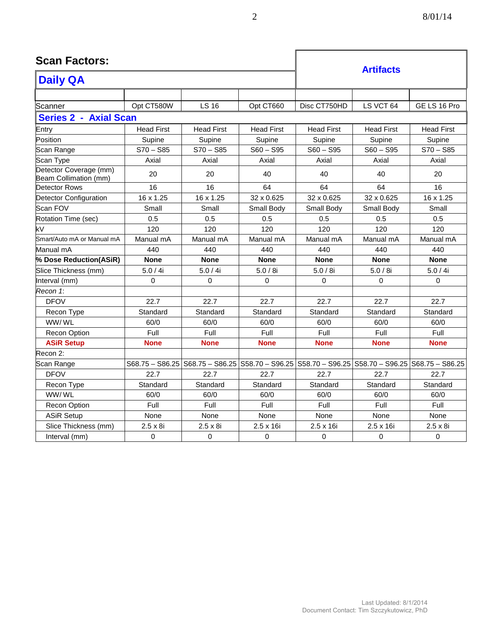| <b>Scan Factors:</b>                            |                   |                                   | <b>Artifacts</b>  |                                                                 |                   |                   |
|-------------------------------------------------|-------------------|-----------------------------------|-------------------|-----------------------------------------------------------------|-------------------|-------------------|
| <b>Daily QA</b>                                 |                   |                                   |                   |                                                                 |                   |                   |
|                                                 |                   |                                   |                   |                                                                 |                   |                   |
| Scanner                                         | Opt CT580W        | <b>LS 16</b>                      | Opt CT660         | Disc CT750HD                                                    | LS VCT 64         | GE LS 16 Pro      |
| <b>Series 2 - Axial Scan</b>                    |                   |                                   |                   |                                                                 |                   |                   |
| Entry                                           | <b>Head First</b> | <b>Head First</b>                 | <b>Head First</b> | <b>Head First</b>                                               | <b>Head First</b> | <b>Head First</b> |
| Position                                        | Supine            | Supine                            | Supine            | Supine                                                          | Supine            | Supine            |
| Scan Range                                      | $S70 - S85$       | $S70 - S85$                       | $S60 - S95$       | $S60 - S95$                                                     | $S60 - S95$       | $S70 - S85$       |
| Scan Type                                       | Axial             | Axial                             | Axial             | Axial                                                           | Axial             | Axial             |
| Detector Coverage (mm)<br>Beam Collimation (mm) | 20                | 20                                | 40                | 40                                                              | 40                | 20                |
| <b>Detector Rows</b>                            | 16                | 16                                | 64                | 64                                                              | 64                | 16                |
| Detector Configuration                          | 16 x 1.25         | 16 x 1.25                         | 32 x 0.625        | 32 x 0.625                                                      | 32 x 0.625        | 16 x 1.25         |
| Scan FOV                                        | Small             | Small                             | Small Body        | Small Body                                                      | Small Body        | Small             |
| Rotation Time (sec)                             | 0.5               | 0.5                               | 0.5               | 0.5                                                             | 0.5               | 0.5               |
| kV                                              | 120               | 120                               | 120               | 120                                                             | 120               | 120               |
| Smart/Auto mA or Manual mA                      | Manual mA         | Manual mA                         | Manual mA         | Manual mA                                                       | Manual mA         | Manual mA         |
| Manual mA                                       | 440               | 440                               | 440               | 440                                                             | 440               | 440               |
| % Dose Reduction(ASiR)                          | <b>None</b>       | <b>None</b>                       | <b>None</b>       | <b>None</b>                                                     | <b>None</b>       | <b>None</b>       |
| Slice Thickness (mm)                            | 5.0 / 4i          | 5.0 / 4i                          | 5.0/8i            | 5.0/8i                                                          | 5.0/8i            | 5.0/4i            |
| Interval (mm)                                   | $\mathbf 0$       | $\mathbf 0$                       | 0                 | $\mathbf 0$                                                     | 0                 | $\Omega$          |
| Recon 1:                                        |                   |                                   |                   |                                                                 |                   |                   |
| <b>DFOV</b>                                     | 22.7              | 22.7                              | 22.7              | 22.7                                                            | 22.7              | 22.7              |
| Recon Type                                      | Standard          | Standard                          | Standard          | Standard                                                        | Standard          | Standard          |
| WW/WL                                           | 60/0              | 60/0                              | 60/0              | 60/0                                                            | 60/0              | 60/0              |
| Recon Option                                    | Full              | Full                              | Full              | Full                                                            | Full              | Full              |
| <b>ASiR Setup</b>                               | <b>None</b>       | <b>None</b>                       | <b>None</b>       | <b>None</b>                                                     | <b>None</b>       | <b>None</b>       |
| Recon 2:                                        |                   |                                   |                   |                                                                 |                   |                   |
| Scan Range                                      |                   | $S68.75 - S86.25$ S68.75 - S86.25 |                   | S58.70 - S96.25 S58.70 - S96.25 S58.70 - S96.25 S68.75 - S86.25 |                   |                   |
| <b>DFOV</b>                                     | 22.7              | 22.7                              | 22.7              | 22.7                                                            | 22.7              | 22.7              |
| Recon Type                                      | Standard          | Standard                          | Standard          | Standard                                                        | Standard          | Standard          |
| WW/WL                                           | 60/0              | 60/0                              | 60/0              | 60/0                                                            | 60/0              | 60/0              |
| <b>Recon Option</b>                             | Full              | Full                              | Full              | Full                                                            | Full              | Full              |
| <b>ASiR Setup</b>                               | None              | None                              | None              | None                                                            | None              | None              |
| Slice Thickness (mm)                            | $2.5 \times 8i$   | $2.5 \times 8i$                   | 2.5 x 16i         | $2.5 \times 16i$                                                | $2.5 \times 16i$  | $2.5 \times 8i$   |
| Interval (mm)                                   | 0                 | 0                                 | 0                 | 0                                                               | 0                 | 0                 |

 $\mathbf{r}$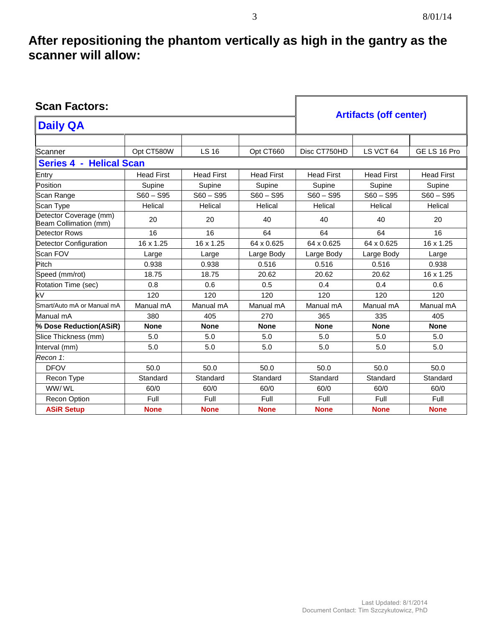### **After repositioning the phantom vertically as high in the gantry as the scanner will allow:**

| <b>Scan Factors:</b>                            |                   |                   |                   |                               |                   |                   |
|-------------------------------------------------|-------------------|-------------------|-------------------|-------------------------------|-------------------|-------------------|
| <b>Daily QA</b>                                 |                   |                   |                   | <b>Artifacts (off center)</b> |                   |                   |
|                                                 |                   |                   |                   |                               |                   |                   |
| Scanner                                         | Opt CT580W        | <b>LS 16</b>      | Opt CT660         | Disc CT750HD                  | LS VCT 64         | GE LS 16 Pro      |
| Series 4 - Helical Scan                         |                   |                   |                   |                               |                   |                   |
| Entry                                           | <b>Head First</b> | <b>Head First</b> | <b>Head First</b> | <b>Head First</b>             | <b>Head First</b> | <b>Head First</b> |
| Position                                        | Supine            | Supine            | Supine            | Supine                        | Supine            | Supine            |
| Scan Range                                      | $S60 - S95$       | $S60 - S95$       | $S60 - S95$       | $S60 - S95$                   | $S60 - S95$       | $S60 - S95$       |
| Scan Type                                       | Helical           | Helical           | Helical           | Helical                       | Helical           | Helical           |
| Detector Coverage (mm)<br>Beam Collimation (mm) | 20                | 20                | 40                | 40                            | 40                | 20                |
| <b>Detector Rows</b>                            | 16                | 16                | 64                | 64                            | 64                | 16                |
| Detector Configuration                          | 16 x 1.25         | 16 x 1.25         | 64 x 0.625        | 64 x 0.625                    | 64 x 0.625        | 16 x 1.25         |
| Scan FOV                                        | Large             | Large             | Large Body        | Large Body                    | Large Body        | Large             |
| Pitch                                           | 0.938             | 0.938             | 0.516             | 0.516                         | 0.516             | 0.938             |
| Speed (mm/rot)                                  | 18.75             | 18.75             | 20.62             | 20.62                         | 20.62             | 16 x 1.25         |
| Rotation Time (sec)                             | 0.8               | 0.6               | 0.5               | 0.4                           | 0.4               | 0.6               |
| kV                                              | 120               | 120               | 120               | 120                           | 120               | 120               |
| Smart/Auto mA or Manual mA                      | Manual mA         | Manual mA         | Manual mA         | Manual mA                     | Manual mA         | Manual mA         |
| Manual mA                                       | 380               | 405               | 270               | 365                           | 335               | 405               |
| % Dose Reduction(ASiR)                          | <b>None</b>       | <b>None</b>       | <b>None</b>       | <b>None</b>                   | <b>None</b>       | <b>None</b>       |
| Slice Thickness (mm)                            | 5.0               | 5.0               | 5.0               | 5.0                           | 5.0               | 5.0               |
| Interval (mm)                                   | 5.0               | 5.0               | 5.0               | 5.0                           | 5.0               | 5.0               |
| Recon 1:                                        |                   |                   |                   |                               |                   |                   |
| <b>DFOV</b>                                     | 50.0              | 50.0              | 50.0              | 50.0                          | 50.0              | 50.0              |
| Recon Type                                      | Standard          | Standard          | Standard          | Standard                      | Standard          | Standard          |
| WW/WL                                           | 60/0              | 60/0              | 60/0              | 60/0                          | 60/0              | 60/0              |
| <b>Recon Option</b>                             | Full              | Full              | Full              | Full                          | Full              | Full              |
| <b>ASiR Setup</b>                               | <b>None</b>       | <b>None</b>       | <b>None</b>       | <b>None</b>                   | <b>None</b>       | <b>None</b>       |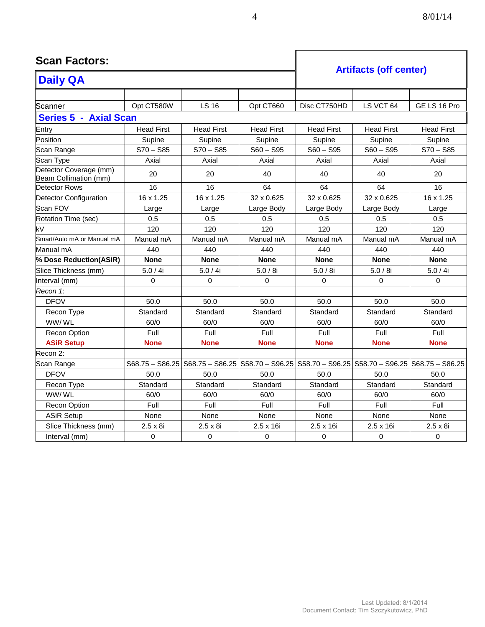**Scan Factors:**

|                                                 |                   |                   | <b>Artifacts (off center)</b> |                                                                                                           |                   |                   |
|-------------------------------------------------|-------------------|-------------------|-------------------------------|-----------------------------------------------------------------------------------------------------------|-------------------|-------------------|
| <b>Daily QA</b>                                 |                   |                   |                               |                                                                                                           |                   |                   |
|                                                 |                   |                   |                               |                                                                                                           |                   |                   |
| Scanner                                         | Opt CT580W        | <b>LS 16</b>      | Opt CT660                     | Disc CT750HD                                                                                              | LS VCT 64         | GE LS 16 Pro      |
| <b>Series 5 - Axial Scan</b>                    |                   |                   |                               |                                                                                                           |                   |                   |
| Entry                                           | <b>Head First</b> | <b>Head First</b> | <b>Head First</b>             | <b>Head First</b>                                                                                         | <b>Head First</b> | <b>Head First</b> |
| Position                                        | Supine            | Supine            | Supine                        | Supine                                                                                                    | Supine            | Supine            |
| Scan Range                                      | $S70 - S85$       | $S70 - S85$       | $S60 - S95$                   | $S60 - S95$                                                                                               | $S60 - S95$       | $S70 - S85$       |
| Scan Type                                       | Axial             | Axial             | Axial                         | Axial                                                                                                     | Axial             | Axial             |
| Detector Coverage (mm)<br>Beam Collimation (mm) | 20                | 20                | 40                            | 40                                                                                                        | 40                | 20                |
| Detector Rows                                   | 16                | 16                | 64                            | 64                                                                                                        | 64                | 16                |
| Detector Configuration                          | 16 x 1.25         | 16 x 1.25         | 32 x 0.625                    | 32 x 0.625                                                                                                | 32 x 0.625        | 16 x 1.25         |
| Scan FOV                                        | Large             | Large             | Large Body                    | Large Body                                                                                                | Large Body        | Large             |
| Rotation Time (sec)                             | 0.5               | 0.5               | 0.5                           | 0.5                                                                                                       | 0.5               | 0.5               |
| $\overline{\mathsf{kV}}$                        | 120               | 120               | 120                           | 120                                                                                                       | 120               | 120               |
| Smart/Auto mA or Manual mA                      | Manual mA         | Manual mA         | Manual mA                     | Manual mA                                                                                                 | Manual mA         | Manual mA         |
| Manual mA                                       | 440               | 440               | 440                           | 440                                                                                                       | 440               | 440               |
| % Dose Reduction(ASiR)                          | <b>None</b>       | <b>None</b>       | <b>None</b>                   | <b>None</b>                                                                                               | <b>None</b>       | <b>None</b>       |
| Slice Thickness (mm)                            | 5.0 / 4i          | 5.0 / 4i          | 5.0/8i                        | 5.0/8i                                                                                                    | 5.0/8i            | 5.0 / 4i          |
| Interval (mm)                                   | $\Omega$          | $\Omega$          | $\mathbf{0}$                  | $\Omega$                                                                                                  | $\Omega$          | $\Omega$          |
| Recon 1:                                        |                   |                   |                               |                                                                                                           |                   |                   |
| <b>DFOV</b>                                     | 50.0              | 50.0              | 50.0                          | 50.0                                                                                                      | 50.0              | 50.0              |
| Recon Type                                      | Standard          | Standard          | Standard                      | Standard                                                                                                  | Standard          | Standard          |
| WW/WL                                           | 60/0              | 60/0              | 60/0                          | 60/0                                                                                                      | 60/0              | 60/0              |
| <b>Recon Option</b>                             | Full              | Full              | Full                          | Full                                                                                                      | Full              | Full              |
| <b>ASiR Setup</b>                               | <b>None</b>       | <b>None</b>       | <b>None</b>                   | <b>None</b>                                                                                               | <b>None</b>       | <b>None</b>       |
| Recon 2:                                        |                   |                   |                               |                                                                                                           |                   |                   |
| Scan Range                                      |                   |                   |                               | S68.75 - S86.25   S68.75 - S86.25   S58.70 - S96.25   S58.70 - S96.25   S58.70 - S96.25   S68.75 - S86.25 |                   |                   |
| <b>DFOV</b>                                     | 50.0              | 50.0              | 50.0                          | 50.0                                                                                                      | 50.0              | 50.0              |
| Recon Type                                      | Standard          | Standard          | Standard                      | Standard                                                                                                  | Standard          | Standard          |
| WW/WL                                           | 60/0              | 60/0              | 60/0                          | 60/0                                                                                                      | 60/0              | 60/0              |
| Recon Option                                    | Full              | Full              | Full                          | Full                                                                                                      | Full              | Full              |
| <b>ASiR Setup</b>                               | None              | None              | None                          | None                                                                                                      | None              | None              |
| Slice Thickness (mm)                            | $2.5 \times 8i$   | $2.5 \times 8i$   | $2.5 \times 16i$              | $2.5 \times 16i$                                                                                          | $2.5 \times 16i$  | $2.5 \times 8i$   |
| Interval (mm)                                   | $\pmb{0}$         | 0                 | 0                             | 0                                                                                                         | $\mathbf 0$       | $\mathbf 0$       |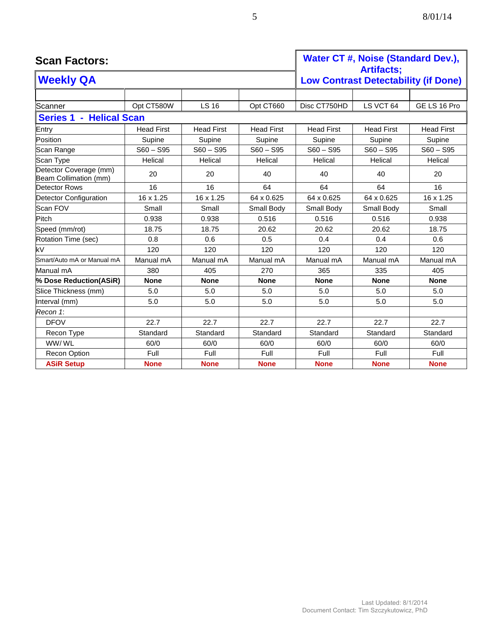| <b>Scan Factors:</b>                            | Water CT #, Noise (Standard Dev.),<br><b>Artifacts:</b> |                   |                   |                   |                                             |                   |
|-------------------------------------------------|---------------------------------------------------------|-------------------|-------------------|-------------------|---------------------------------------------|-------------------|
| <b>Weekly QA</b>                                |                                                         |                   |                   |                   | <b>Low Contrast Detectability (if Done)</b> |                   |
|                                                 |                                                         |                   |                   |                   |                                             |                   |
| Scanner                                         | Opt CT580W                                              | <b>LS 16</b>      | Opt CT660         | Disc CT750HD      | LS VCT 64                                   | GE LS 16 Pro      |
| <b>Series 1 - Helical Scan</b>                  |                                                         |                   |                   |                   |                                             |                   |
| Entry                                           | <b>Head First</b>                                       | <b>Head First</b> | <b>Head First</b> | <b>Head First</b> | <b>Head First</b>                           | <b>Head First</b> |
| Position                                        | Supine                                                  | Supine            | Supine            | Supine            | Supine                                      | Supine            |
| Scan Range                                      | $S60 - S95$                                             | $S60 - S95$       | $S60 - S95$       | $S60 - S95$       | $S60 - S95$                                 | $S60 - S95$       |
| Scan Type                                       | Helical                                                 | Helical           | Helical           | Helical           | Helical                                     | Helical           |
| Detector Coverage (mm)<br>Beam Collimation (mm) | 20                                                      | 20                | 40                | 40                | 40                                          | 20                |
| <b>Detector Rows</b>                            | 16                                                      | 16                | 64                | 64                | 64                                          | 16                |
| Detector Configuration                          | 16 x 1.25                                               | 16 x 1.25         | 64 x 0.625        | 64 x 0.625        | 64 x 0.625                                  | 16 x 1.25         |
| Scan FOV                                        | Small                                                   | Small             | Small Body        | Small Body        | Small Body                                  | Small             |
| Pitch                                           | 0.938                                                   | 0.938             | 0.516             | 0.516             | 0.516                                       | 0.938             |
| Speed (mm/rot)                                  | 18.75                                                   | 18.75             | 20.62             | 20.62             | 20.62                                       | 18.75             |
| Rotation Time (sec)                             | 0.8                                                     | 0.6               | 0.5               | 0.4               | 0.4                                         | 0.6               |
| kV                                              | 120                                                     | 120               | 120               | 120               | 120                                         | 120               |
| Smart/Auto mA or Manual mA                      | Manual mA                                               | Manual mA         | Manual mA         | Manual mA         | Manual mA                                   | Manual mA         |
| Manual mA                                       | 380                                                     | 405               | 270               | 365               | 335                                         | 405               |
| % Dose Reduction(ASiR)                          | <b>None</b>                                             | <b>None</b>       | <b>None</b>       | <b>None</b>       | <b>None</b>                                 | <b>None</b>       |
| Slice Thickness (mm)                            | 5.0                                                     | 5.0               | 5.0               | 5.0               | 5.0                                         | 5.0               |
| Interval (mm)                                   | 5.0                                                     | 5.0               | 5.0               | 5.0               | 5.0                                         | 5.0               |
| Recon 1:                                        |                                                         |                   |                   |                   |                                             |                   |
| <b>DFOV</b>                                     | 22.7                                                    | 22.7              | 22.7              | 22.7              | 22.7                                        | 22.7              |
| Recon Type                                      | Standard                                                | Standard          | Standard          | Standard          | Standard                                    | Standard          |
| WW/WL                                           | 60/0                                                    | 60/0              | 60/0              | 60/0              | 60/0                                        | 60/0              |
| Recon Option                                    | Full                                                    | Full              | Full              | Full              | Full                                        | Full              |
| <b>ASiR Setup</b>                               | <b>None</b>                                             | <b>None</b>       | <b>None</b>       | <b>None</b>       | <b>None</b>                                 | <b>None</b>       |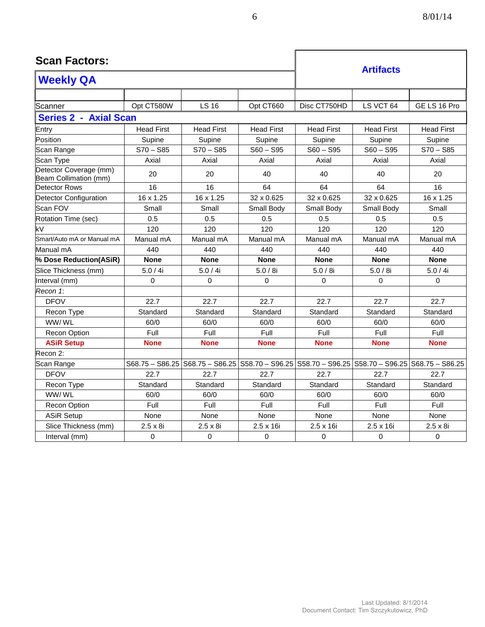| <b>Scan Factors:</b>                            |                   |                   |                   |                                                                                         | <b>Artifacts</b>  |                   |
|-------------------------------------------------|-------------------|-------------------|-------------------|-----------------------------------------------------------------------------------------|-------------------|-------------------|
| <b>Weekly QA</b>                                |                   |                   |                   |                                                                                         |                   |                   |
|                                                 |                   |                   |                   |                                                                                         |                   |                   |
| Scanner                                         | Opt CT580W        | <b>LS 16</b>      | Opt CT660         | Disc CT750HD                                                                            | LS VCT 64         | GE LS 16 Pro      |
| <b>Series 2 - Axial Scan</b>                    |                   |                   |                   |                                                                                         |                   |                   |
| Entry                                           | <b>Head First</b> | <b>Head First</b> | <b>Head First</b> | <b>Head First</b>                                                                       | <b>Head First</b> | <b>Head First</b> |
| Position                                        | Supine            | Supine            | Supine            | Supine                                                                                  | Supine            | Supine            |
| Scan Range                                      | $S70 - S85$       | $S70 - S85$       | $S60 - S95$       | $S60 - S95$                                                                             | $S60 - S95$       | $S70 - S85$       |
| Scan Type                                       | Axial             | Axial             | Axial             | Axial                                                                                   | Axial             | Axial             |
| Detector Coverage (mm)<br>Beam Collimation (mm) | 20                | 20                | 40                | 40                                                                                      | 40                | 20                |
| Detector Rows                                   | 16                | 16                | 64                | 64                                                                                      | 64                | 16                |
| Detector Configuration                          | 16 x 1.25         | 16 x 1.25         | 32 x 0.625        | 32 x 0.625                                                                              | 32 x 0.625        | 16 x 1.25         |
| Scan FOV                                        | Small             | Small             | Small Body        | Small Body                                                                              | Small Body        | Small             |
| Rotation Time (sec)                             | 0.5               | 0.5               | 0.5               | 0.5                                                                                     | 0.5               | 0.5               |
| kV                                              | 120               | 120               | 120               | 120                                                                                     | 120               | 120               |
| Smart/Auto mA or Manual mA                      | Manual mA         | Manual mA         | Manual mA         | Manual mA                                                                               | Manual mA         | Manual mA         |
| Manual mA                                       | 440               | 440               | 440               | 440                                                                                     | 440               | 440               |
| % Dose Reduction(ASiR)                          | <b>None</b>       | <b>None</b>       | <b>None</b>       | <b>None</b>                                                                             | <b>None</b>       | <b>None</b>       |
| Slice Thickness (mm)                            | 5.0 / 4i          | 5.0 / 4i          | 5.0/8i            | 5.0 / 8i                                                                                | 5.0 / 8i          | 5.0 / 4i          |
| Interval (mm)                                   | $\Omega$          | $\Omega$          | $\Omega$          | $\Omega$                                                                                | $\Omega$          | $\Omega$          |
| Recon 1:                                        |                   |                   |                   |                                                                                         |                   |                   |
| <b>DFOV</b>                                     | 22.7              | 22.7              | 22.7              | 22.7                                                                                    | 22.7              | 22.7              |
| Recon Type                                      | Standard          | Standard          | Standard          | Standard                                                                                | Standard          | Standard          |
| WW/WL                                           | 60/0              | 60/0              | 60/0              | 60/0                                                                                    | 60/0              | 60/0              |
| <b>Recon Option</b>                             | Full              | Full              | Full              | Full                                                                                    | Full              | Full              |
| <b>ASiR Setup</b>                               | <b>None</b>       | <b>None</b>       | <b>None</b>       | <b>None</b>                                                                             | <b>None</b>       | <b>None</b>       |
| Recon 2:                                        |                   |                   |                   |                                                                                         |                   |                   |
| Scan Range                                      |                   |                   |                   | S68.75 - S86.25   S68.75 - S86.25   S58.70 - S96.25   S58.70 - S96.25   S58.70 - S96.25 |                   | $S68.75 - S86.25$ |
| <b>DFOV</b>                                     | 22.7              | 22.7              | 22.7              | 22.7                                                                                    | 22.7              | 22.7              |
| Recon Type                                      | Standard          | Standard          | Standard          | Standard                                                                                | Standard          | Standard          |
| WW/WL                                           | 60/0              | 60/0              | 60/0              | 60/0                                                                                    | 60/0              | 60/0              |
| Recon Option                                    | Full              | Full              | Full              | Full                                                                                    | Full              | Full              |
| <b>ASiR Setup</b>                               | None              | None              | None              | None                                                                                    | None              | None              |
| Slice Thickness (mm)                            | $2.5 \times 8i$   | $2.5 \times 8i$   | $2.5 \times 16i$  | 2.5 x 16i                                                                               | 2.5 x 16i         | $2.5 \times 8i$   |
| Interval (mm)                                   | $\mathbf 0$       | 0                 | 0                 | $\mathbf 0$                                                                             | $\mathbf 0$       | $\mathbf 0$       |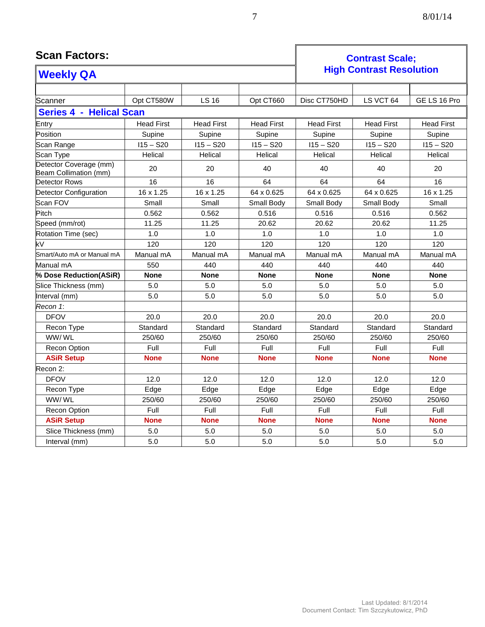| <b>Scan Factors:</b>                            |                   |                   | <b>Contrast Scale:</b> |                   |                                 |                   |
|-------------------------------------------------|-------------------|-------------------|------------------------|-------------------|---------------------------------|-------------------|
| <b>Weekly QA</b>                                |                   |                   |                        |                   | <b>High Contrast Resolution</b> |                   |
|                                                 |                   |                   |                        |                   |                                 |                   |
| Scanner                                         | Opt CT580W        | <b>LS 16</b>      | Opt CT660              | Disc CT750HD      | LS VCT 64                       | GE LS 16 Pro      |
| <b>Series 4 - Helical Scan</b>                  |                   |                   |                        |                   |                                 |                   |
| Entry                                           | <b>Head First</b> | <b>Head First</b> | <b>Head First</b>      | <b>Head First</b> | <b>Head First</b>               | <b>Head First</b> |
| Position                                        | Supine            | Supine            | Supine                 | Supine            | Supine                          | Supine            |
| Scan Range                                      | $115 - S20$       | $115 - S20$       | $115 - S20$            | $115 - S20$       | $115 - S20$                     | $115 - S20$       |
| Scan Type                                       | Helical           | Helical           | Helical                | Helical           | Helical                         | Helical           |
| Detector Coverage (mm)<br>Beam Collimation (mm) | 20                | 20                | 40                     | 40                | 40                              | 20                |
| Detector Rows                                   | 16                | 16                | 64                     | 64                | 64                              | 16                |
| <b>Detector Configuration</b>                   | 16 x 1.25         | 16 x 1.25         | 64 x 0.625             | 64 x 0.625        | 64 x 0.625                      | 16 x 1.25         |
| Scan FOV                                        | Small             | Small             | Small Body             | Small Body        | Small Body                      | Small             |
| Pitch                                           | 0.562             | 0.562             | 0.516                  | 0.516             | 0.516                           | 0.562             |
| Speed (mm/rot)                                  | 11.25             | 11.25             | 20.62                  | 20.62             | 20.62                           | 11.25             |
| Rotation Time (sec)                             | 1.0               | 1.0               | 1.0                    | 1.0               | 1.0                             | 1.0               |
| kV                                              | 120               | 120               | 120                    | 120               | 120                             | 120               |
| Smart/Auto mA or Manual mA                      | Manual mA         | Manual mA         | Manual mA              | Manual mA         | Manual mA                       | Manual mA         |
| Manual mA                                       | 550               | 440               | 440                    | 440               | 440                             | 440               |
| % Dose Reduction(ASiR)                          | <b>None</b>       | <b>None</b>       | <b>None</b>            | <b>None</b>       | <b>None</b>                     | <b>None</b>       |
| Slice Thickness (mm)                            | 5.0               | 5.0               | 5.0                    | 5.0               | 5.0                             | 5.0               |
| Interval (mm)                                   | 5.0               | 5.0               | 5.0                    | 5.0               | 5.0                             | 5.0               |
| Recon 1:                                        |                   |                   |                        |                   |                                 |                   |
| <b>DFOV</b>                                     | 20.0              | 20.0              | 20.0                   | 20.0              | 20.0                            | 20.0              |
| Recon Type                                      | Standard          | Standard          | Standard               | Standard          | Standard                        | Standard          |
| WW/WL                                           | 250/60            | 250/60            | 250/60                 | 250/60            | 250/60                          | 250/60            |
| <b>Recon Option</b>                             | Full              | Full              | Full                   | Full              | Full                            | Full              |
| <b>ASiR Setup</b>                               | <b>None</b>       | <b>None</b>       | <b>None</b>            | <b>None</b>       | <b>None</b>                     | <b>None</b>       |
| Recon 2:                                        |                   |                   |                        |                   |                                 |                   |
| <b>DFOV</b>                                     | 12.0              | 12.0              | 12.0                   | 12.0              | 12.0                            | 12.0              |
| Recon Type                                      | Edge              | Edge              | Edge                   | Edge              | Edge                            | Edge              |
| WW/WL                                           | 250/60            | 250/60            | 250/60                 | 250/60            | 250/60                          | 250/60            |
| <b>Recon Option</b>                             | Full              | Full              | Full                   | Full              | Full                            | Full              |
| <b>ASiR Setup</b>                               | <b>None</b>       | <b>None</b>       | <b>None</b>            | <b>None</b>       | <b>None</b>                     | <b>None</b>       |
| Slice Thickness (mm)                            | 5.0               | 5.0               | 5.0                    | 5.0               | 5.0                             | 5.0               |

Interval (mm)  $\begin{array}{|c|c|c|c|c|c|c|c|c|} \hline \end{array}$  5.0  $\begin{array}{|c|c|c|c|c|c|c|} \hline \end{array}$  5.0  $\begin{array}{|c|c|c|c|c|} \hline \end{array}$  5.0  $\begin{array}{|c|c|c|c|c|} \hline \end{array}$  5.0  $\begin{array}{|c|c|c|c|} \hline \end{array}$  5.0

#### Last Updated: 8/1/2014 Document Contact: Tim Szczykutowicz, PhD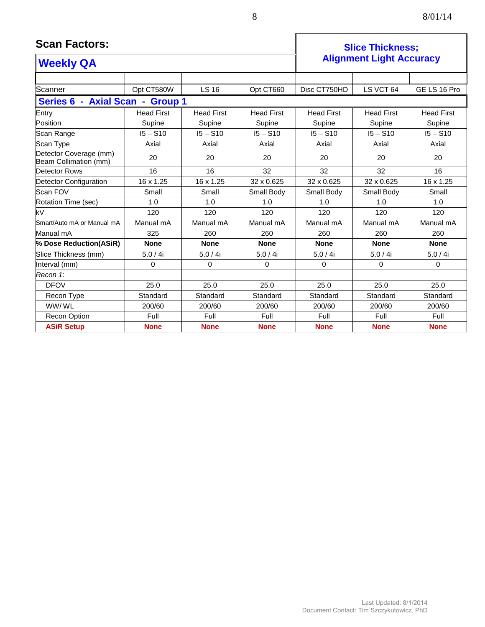| 8 | 8/01/14 |
|---|---------|
|---|---------|

#### **Scan Factors: Scan Factors: Slice Thickness; Alignment Light Accuracy Weekly QA** Scanner | Opt CT580W | LS 16 | Opt CT660 | Disc CT750HD | LS VCT 64 | GE LS 16 Pro **Series 6 - Axial Scan - Group 1** Entry | Head First | Head First | Head First | Head First | Head First | Head First Position Supine Supine Supine Supine Supine Supine Scan Range | I5 – S10 | I5 – S10 | I5 – S10 | I5 – S10 | I5 – S10 Scan Type | Axial | Axial | Axial | Axial | Axial | Axial Detector Coverage (mm) Detection Coverage (Hilli)<br>Beam Collimation (mm) 20 20 20 20 20 20 20 20 20 Detector Rows | 16 | 16 | 32 | 32 | 16 Detector Configuration 16 x 1.25 16 x 1.25 32 x 0.625 32 x 0.625 32 x 0.625 16 x 1.25 Scan FOV | Small | Small | Small Body | Small Body | Small Body | Small Rotation Time (sec) 1.0 1.0 1.0 1.0 1.0 1.0 kV 120 120 120 120 120 120 Smart/Auto mA or Manual mA Manual mA Manual mA Manual mA Manual mA Manual mA Manual mA Manual mA | 325 | 260 | 260 | 260 | 260 | 260 **% Dose Reduction(ASiR) None None None None None None** Slice Thickness (mm) 5.0 / 4i 5.0 / 4i 5.0 / 4i 5.0 / 4i 5.0 / 4i 5.0 / 4i Interval (mm) | 0 | 0 | 0 | 0 | 0 *Recon 1*:

DFOV 25.0 25.0 25.0 25.0 25.0 25.0 Recon Type | Standard | Standard | Standard | Standard | Standard | Standard WW/ WL | 200/60 | 200/60 | 200/60 | 200/60 | 200/60 | 200/60 Recon Option Full Full Full Full Full Full **ASiR Setup None None None None None None**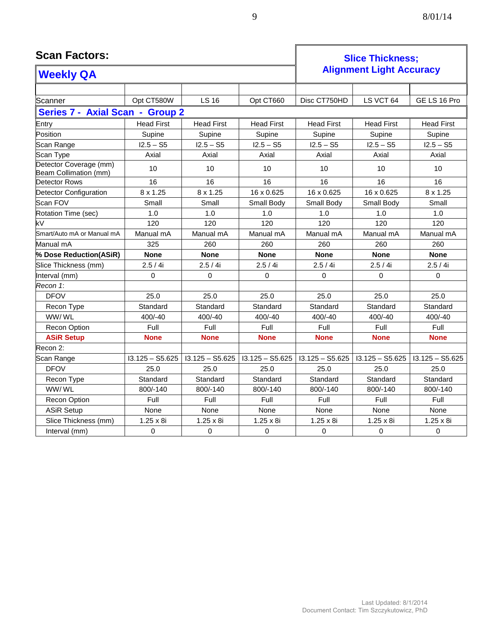| <b>Scan Factors:</b>                            |                   |                   | <b>Slice Thickness:</b><br><b>Alignment Light Accuracy</b> |                   |                   |                   |
|-------------------------------------------------|-------------------|-------------------|------------------------------------------------------------|-------------------|-------------------|-------------------|
| <b>Weekly QA</b>                                |                   |                   |                                                            |                   |                   |                   |
|                                                 |                   |                   |                                                            |                   |                   |                   |
| Scanner                                         | Opt CT580W        | <b>LS 16</b>      | Opt CT660                                                  | Disc CT750HD      | LS VCT 64         | GE LS 16 Pro      |
| Series 7 - Axial Scan - Group 2                 |                   |                   |                                                            |                   |                   |                   |
| Entry                                           | <b>Head First</b> | <b>Head First</b> | <b>Head First</b>                                          | <b>Head First</b> | <b>Head First</b> | <b>Head First</b> |
| Position                                        | Supine            | Supine            | Supine                                                     | Supine            | Supine            | Supine            |
| Scan Range                                      | $12.5 - S5$       | $12.5 - S5$       | $12.5 - S5$                                                | $12.5 - S5$       | $12.5 - S5$       | $12.5 - S5$       |
| Scan Type                                       | Axial             | Axial             | Axial                                                      | Axial             | Axial             | Axial             |
| Detector Coverage (mm)<br>Beam Collimation (mm) | 10                | 10                | 10                                                         | 10                | 10                | 10                |
| Detector Rows                                   | 16                | 16                | 16                                                         | 16                | 16                | 16                |
| <b>Detector Configuration</b>                   | 8 x 1.25          | 8 x 1.25          | 16 x 0.625                                                 | 16 x 0.625        | 16 x 0.625        | 8 x 1.25          |
| Scan FOV                                        | Small             | Small             | Small Body                                                 | Small Body        | Small Body        | Small             |
| Rotation Time (sec)                             | 1.0               | 1.0               | 1.0                                                        | 1.0               | 1.0               | 1.0               |
| kV                                              | 120               | 120               | 120                                                        | 120               | 120               | 120               |
| Smart/Auto mA or Manual mA                      | Manual mA         | Manual mA         | Manual mA                                                  | Manual mA         | Manual mA         | Manual mA         |
| Manual mA                                       | 325               | 260               | 260                                                        | 260               | 260               | 260               |
| % Dose Reduction(ASiR)                          | <b>None</b>       | <b>None</b>       | <b>None</b>                                                | <b>None</b>       | <b>None</b>       | <b>None</b>       |
| Slice Thickness (mm)                            | 2.5 / 4i          | 2.5 / 4i          | 2.5 / 4i                                                   | 2.5 / 4i          | 2.5 / 4i          | 2.5 / 4i          |
| Interval (mm)                                   | $\Omega$          | $\mathbf{0}$      | $\Omega$                                                   | $\Omega$          | 0                 | $\Omega$          |
| Recon 1:                                        |                   |                   |                                                            |                   |                   |                   |
| <b>DFOV</b>                                     | 25.0              | 25.0              | 25.0                                                       | 25.0              | 25.0              | 25.0              |
| Recon Type                                      | Standard          | Standard          | Standard                                                   | Standard          | Standard          | Standard          |
| WW/WL                                           | 400/-40           | 400/-40           | 400/-40                                                    | 400/-40           | 400/-40           | 400/-40           |
| Recon Option                                    | Full              | Full              | Full                                                       | Full              | Full              | Full              |
| <b>ASiR Setup</b>                               | <b>None</b>       | <b>None</b>       | <b>None</b>                                                | <b>None</b>       | <b>None</b>       | <b>None</b>       |
| Recon 2:                                        |                   |                   |                                                            |                   |                   |                   |
| Scan Range                                      | $13.125 - S5.625$ | $13.125 - S5.625$ | $13.125 - S5.625$                                          | $13.125 - S5.625$ | $13.125 - S5.625$ | $13.125 - S5.625$ |
| <b>DFOV</b>                                     | 25.0              | 25.0              | 25.0                                                       | 25.0              | 25.0              | 25.0              |
| Recon Type                                      | Standard          | Standard          | Standard                                                   | Standard          | Standard          | Standard          |
| WW/WL                                           | 800/-140          | 800/-140          | 800/-140                                                   | 800/-140          | 800/-140          | 800/-140          |
| Recon Option                                    | Full              | Full              | Full                                                       | Full              | Full              | Full              |
| <b>ASiR Setup</b>                               | None              | None              | None                                                       | None              | None              | None              |
| Slice Thickness (mm)                            | $1.25 \times 8i$  | $1.25 \times 8i$  | $1.25 \times 8i$                                           | $1.25 \times 8i$  | $1.25 \times 8i$  | $1.25 \times 8i$  |

Interval (mm) 0 0 0 0 0 0

 $\mathsf{r}$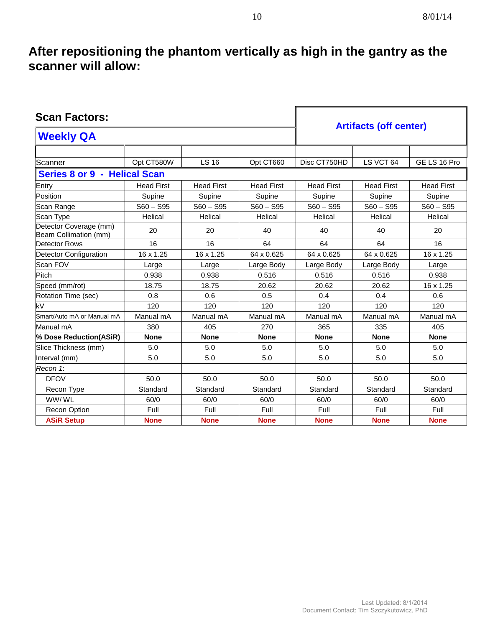## **After repositioning the phantom vertically as high in the gantry as the scanner will allow:**

| <b>Scan Factors:</b>                            | <b>Artifacts (off center)</b> |                   |                   |                   |                   |                   |
|-------------------------------------------------|-------------------------------|-------------------|-------------------|-------------------|-------------------|-------------------|
| <b>Weekly QA</b>                                |                               |                   |                   |                   |                   |                   |
|                                                 |                               |                   |                   |                   |                   |                   |
| Scanner                                         | Opt CT580W                    | LS 16             | Opt CT660         | Disc CT750HD      | LS VCT 64         | GE LS 16 Pro      |
| Series 8 or 9 - Helical Scan                    |                               |                   |                   |                   |                   |                   |
| Entry                                           | <b>Head First</b>             | <b>Head First</b> | <b>Head First</b> | <b>Head First</b> | <b>Head First</b> | <b>Head First</b> |
| Position                                        | Supine                        | Supine            | Supine            | Supine            | Supine            | Supine            |
| Scan Range                                      | $S60 - S95$                   | $S60 - S95$       | $S60 - S95$       | $S60 - S95$       | $S60 - S95$       | $S60 - S95$       |
| Scan Type                                       | Helical                       | Helical           | Helical           | Helical           | Helical           | Helical           |
| Detector Coverage (mm)<br>Beam Collimation (mm) | 20                            | 20                | 40                | 40                | 40                | 20                |
| Detector Rows                                   | 16                            | 16                | 64                | 64                | 64                | 16                |
| Detector Configuration                          | 16 x 1.25                     | 16 x 1.25         | 64 x 0.625        | 64 x 0.625        | 64 x 0.625        | 16 x 1.25         |
| Scan FOV                                        | Large                         | Large             | Large Body        | Large Body        | Large Body        | Large             |
| Pitch                                           | 0.938                         | 0.938             | 0.516             | 0.516             | 0.516             | 0.938             |
| Speed (mm/rot)                                  | 18.75                         | 18.75             | 20.62             | 20.62             | 20.62             | 16 x 1.25         |
| Rotation Time (sec)                             | 0.8                           | 0.6               | 0.5               | 0.4               | 0.4               | 0.6               |
| kV                                              | 120                           | 120               | 120               | 120               | 120               | 120               |
| Smart/Auto mA or Manual mA                      | Manual mA                     | Manual mA         | Manual mA         | Manual mA         | Manual mA         | Manual mA         |
| Manual mA                                       | 380                           | 405               | 270               | 365               | 335               | 405               |
| % Dose Reduction(ASiR)                          | <b>None</b>                   | <b>None</b>       | <b>None</b>       | <b>None</b>       | <b>None</b>       | <b>None</b>       |
| Slice Thickness (mm)                            | 5.0                           | 5.0               | 5.0               | 5.0               | 5.0               | 5.0               |
| Interval (mm)                                   | 5.0                           | 5.0               | 5.0               | 5.0               | 5.0               | 5.0               |
| Recon 1:                                        |                               |                   |                   |                   |                   |                   |
| <b>DFOV</b>                                     | 50.0                          | 50.0              | 50.0              | 50.0              | 50.0              | 50.0              |
| Recon Type                                      | Standard                      | Standard          | Standard          | Standard          | Standard          | Standard          |
| WW/WL                                           | 60/0                          | 60/0              | 60/0              | 60/0              | 60/0              | 60/0              |
| <b>Recon Option</b>                             | Full                          | Full              | Full              | Full              | Full              | Full              |
| <b>ASiR Setup</b>                               | <b>None</b>                   | <b>None</b>       | <b>None</b>       | <b>None</b>       | <b>None</b>       | <b>None</b>       |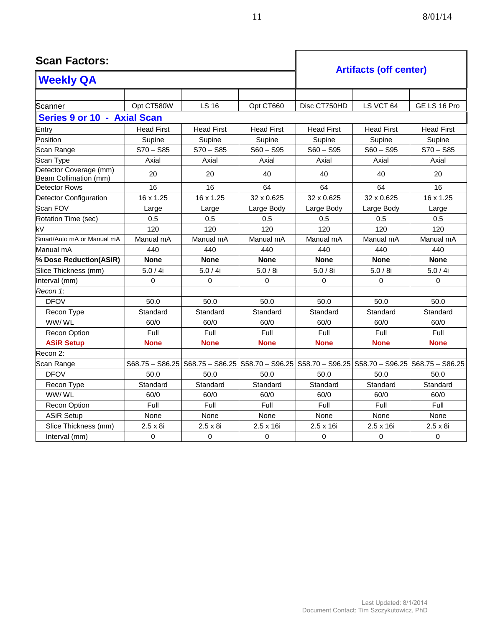#### **Scan Factors: Artifacts (off center) Weekly QA** Scanner | Opt CT580W | LS 16 | Opt CT660 | Disc CT750HD | LS VCT 64 | GE LS 16 Pro **Series 9 or 10 - Axial Scan** Entry | Head First | Head First | Head First | Head First | Head First | Head First Position Supine Supine Supine Supine Supine Supine Scan Range | S70 – S85 | S70 – S85 | S60 – S95 | S60 – S95 | S70 – S85 Scan Type | Axial | Axial | Axial | Axial | Axial | Axial Detector Coverage (mm) Detector Coverage (mm)<br>Beam Collimation (mm) 20 20 40 40 40 20 Detector Rows | 16 | 16 | 64 | 64 | 16 | 16 Detector Configuration 16 x 1.25 16 x 1.25 32 x 0.625 32 x 0.625 32 x 0.625 16 x 1.25 Scan FOV | Large | Large | Large Body | Large Body | Large Body | Large Rotation Time (sec) 0.5 0.5 0.5 0.5 0.5 0.5 kV 120 120 120 120 120 120 Smart/Auto mA or Manual mA | Manual mA | Manual mA | Manual mA | Manual mA | Manual mA Manual mA | 440 | 440 | 440 | 440 | 440 | 440 **% Dose Reduction(ASiR) None None None None None None** Slice Thickness (mm) 5.0 / 4i 5.0 / 4i 5.0 / 8i 5.0 / 8i 5.0 / 8i 5.0 / 4i Interval (mm) | 0 | 0 | 0 | 0 | 0 *Recon 1*: DFOV | 50.0 | 50.0 | 50.0 | 50.0 | 50.0 | 50.0 Recon Type | Standard | Standard | Standard | Standard | Standard | Standard WW/ WL 60/0 60/0 60/0 60/0 60/0 60/0 Recon Option Full Full Full Full Full Full **ASiR Setup None None None None None None** Recon 2: Scan Range S68.75 – S86.25 S68.75 – S86.25 S58.70 – S96.25 S58.70 – S96.25 S58.70 – S96.25 S68.75 – S86.25 DFOV 50.0 50.0 50.0 50.0 50.0 50.0 Recon Type | Standard | Standard | Standard | Standard | Standard | Standard WW/ WL 60/0 60/0 60/0 60/0 60/0 60/0 Recon Option Full Full Full Full Full Full ASiR Setup | None | None | None | None | None | None Slice Thickness (mm) 2.5 x 8i 2.5 x 8i 2.5 x 16i 2.5 x 16i 2.5 x 16i 2.5 x 8i Interval (mm) | 0 | 0 | 0 | 0 | 0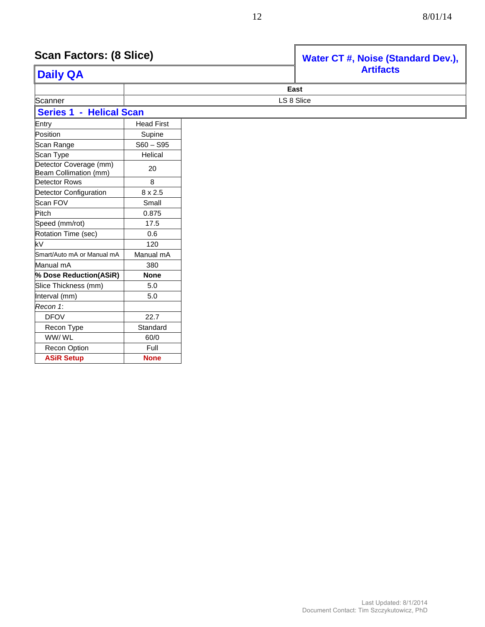| <b>Scan Factors: (8 Slice)</b>                  |                   | Water CT #, Noise (Standard Dev.), |                  |  |
|-------------------------------------------------|-------------------|------------------------------------|------------------|--|
| <b>Daily QA</b>                                 |                   |                                    | <b>Artifacts</b> |  |
|                                                 |                   |                                    | East             |  |
| Scanner                                         |                   |                                    | LS 8 Slice       |  |
| <b>Series 1 - Helical Scan</b>                  |                   |                                    |                  |  |
| Entry                                           | <b>Head First</b> |                                    |                  |  |
| Position                                        | Supine            |                                    |                  |  |
| Scan Range                                      | $S60 - S95$       |                                    |                  |  |
| Scan Type                                       | Helical           |                                    |                  |  |
| Detector Coverage (mm)<br>Beam Collimation (mm) | 20                |                                    |                  |  |
| Detector Rows                                   | 8                 |                                    |                  |  |
| Detector Configuration                          | 8 x 2.5           |                                    |                  |  |
| Scan FOV                                        | Small             |                                    |                  |  |
| Pitch                                           | 0.875             |                                    |                  |  |
| Speed (mm/rot)                                  | 17.5              |                                    |                  |  |
| Rotation Time (sec)                             | 0.6               |                                    |                  |  |
| kV                                              | 120               |                                    |                  |  |
| Smart/Auto mA or Manual mA                      | Manual mA         |                                    |                  |  |
| Manual mA                                       | 380               |                                    |                  |  |
| % Dose Reduction(ASiR)                          | <b>None</b>       |                                    |                  |  |
| Slice Thickness (mm)                            | 5.0               |                                    |                  |  |
| Interval (mm)                                   | 5.0               |                                    |                  |  |
| Recon 1:                                        |                   |                                    |                  |  |
| <b>DFOV</b>                                     | 22.7              |                                    |                  |  |
| Recon Type                                      | Standard          |                                    |                  |  |
| WW/WL                                           | 60/0              |                                    |                  |  |
| <b>Recon Option</b>                             | Full              |                                    |                  |  |

**ASiR Setup None**

#### Last Updated: 8/1/2014 Document Contact: Tim Szczykutowicz, PhD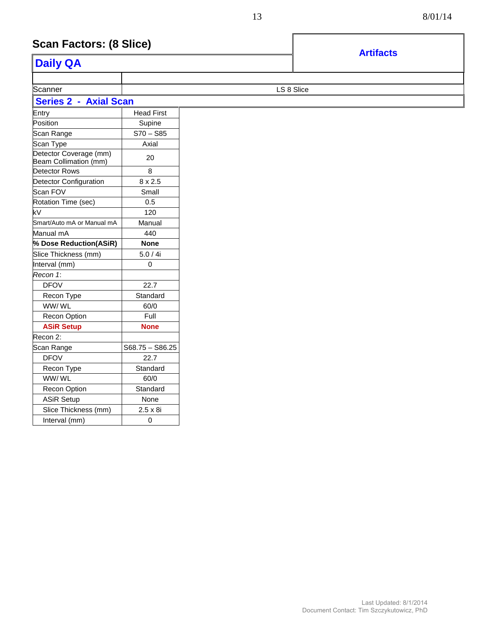## **Scan Factors: (8 Slice)**

|                                                 |                   |            | <b>Artifacts</b> |  |
|-------------------------------------------------|-------------------|------------|------------------|--|
| <b>Daily QA</b>                                 |                   |            |                  |  |
|                                                 |                   |            |                  |  |
| Scanner                                         |                   | LS 8 Slice |                  |  |
| <b>Series 2 - Axial Scan</b>                    |                   |            |                  |  |
| Entry                                           | <b>Head First</b> |            |                  |  |
| Position                                        | Supine            |            |                  |  |
| Scan Range                                      | $S70 - S85$       |            |                  |  |
| Scan Type                                       | Axial             |            |                  |  |
| Detector Coverage (mm)<br>Beam Collimation (mm) | 20                |            |                  |  |
| Detector Rows                                   | 8                 |            |                  |  |
| Detector Configuration                          | $8 \times 2.5$    |            |                  |  |
| Scan FOV                                        | Small             |            |                  |  |
| Rotation Time (sec)                             | 0.5               |            |                  |  |
| kV                                              | 120               |            |                  |  |
| Smart/Auto mA or Manual mA                      | Manual            |            |                  |  |
| Manual mA                                       | 440               |            |                  |  |
| % Dose Reduction(ASiR)                          | <b>None</b>       |            |                  |  |
| Slice Thickness (mm)                            | 5.0/4i            |            |                  |  |
| Interval (mm)                                   | 0                 |            |                  |  |
| Recon 1:                                        |                   |            |                  |  |
| <b>DFOV</b>                                     | 22.7              |            |                  |  |
| Recon Type                                      | Standard          |            |                  |  |
| WW/WL                                           | 60/0              |            |                  |  |
| Recon Option                                    | Full              |            |                  |  |
| <b>ASiR Setup</b>                               | <b>None</b>       |            |                  |  |
| Recon 2:                                        |                   |            |                  |  |
| Scan Range                                      | $S68.75 - S86.25$ |            |                  |  |
| <b>DFOV</b>                                     | 22.7              |            |                  |  |
| Recon Type                                      | Standard          |            |                  |  |
| WW/WL                                           | 60/0              |            |                  |  |
| Recon Option                                    | Standard          |            |                  |  |
| <b>ASiR Setup</b>                               | None              |            |                  |  |
| Slice Thickness (mm)                            | $2.5 \times 8i$   |            |                  |  |
| Interval (mm)                                   | $\mathbf 0$       |            |                  |  |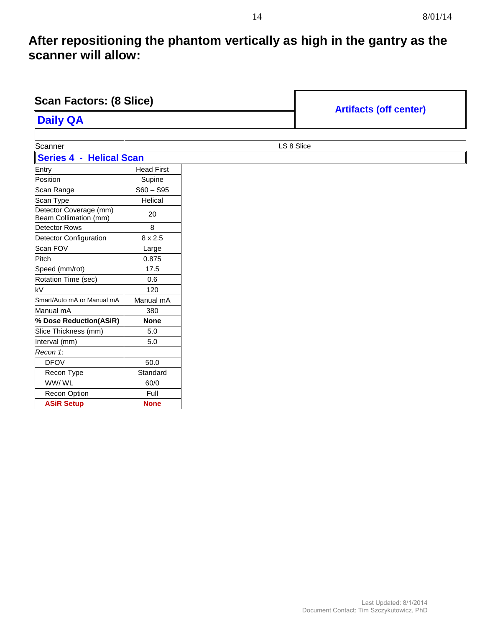### **After repositioning the phantom vertically as high in the gantry as the scanner will allow:**

| <b>Scan Factors: (8 Slice)</b>                  |                   |            |                               |
|-------------------------------------------------|-------------------|------------|-------------------------------|
| <b>Daily QA</b>                                 |                   |            | <b>Artifacts (off center)</b> |
|                                                 |                   |            |                               |
| Scanner                                         |                   | LS 8 Slice |                               |
| <b>Series 4 - Helical Scan</b>                  |                   |            |                               |
| Entry                                           | <b>Head First</b> |            |                               |
| Position                                        | Supine            |            |                               |
| Scan Range                                      | $S60 - S95$       |            |                               |
| Scan Type                                       | Helical           |            |                               |
| Detector Coverage (mm)<br>Beam Collimation (mm) | 20                |            |                               |
| Detector Rows                                   | 8                 |            |                               |
| Detector Configuration                          | $8 \times 2.5$    |            |                               |
| Scan FOV                                        | Large             |            |                               |
| Pitch                                           | 0.875             |            |                               |
| Speed (mm/rot)                                  | 17.5              |            |                               |
| Rotation Time (sec)                             | 0.6               |            |                               |
| kV                                              | 120               |            |                               |
| Smart/Auto mA or Manual mA                      | Manual mA         |            |                               |
| Manual mA                                       | 380               |            |                               |
| % Dose Reduction(ASiR)                          | <b>None</b>       |            |                               |
| Slice Thickness (mm)                            | 5.0               |            |                               |
| Interval (mm)                                   | 5.0               |            |                               |
| Recon 1:                                        |                   |            |                               |
| <b>DFOV</b>                                     | 50.0              |            |                               |
| Recon Type                                      | Standard          |            |                               |
| WW/WL                                           | 60/0              |            |                               |
| Recon Option                                    | Full              |            |                               |
| <b>ASiR Setup</b>                               | <b>None</b>       |            |                               |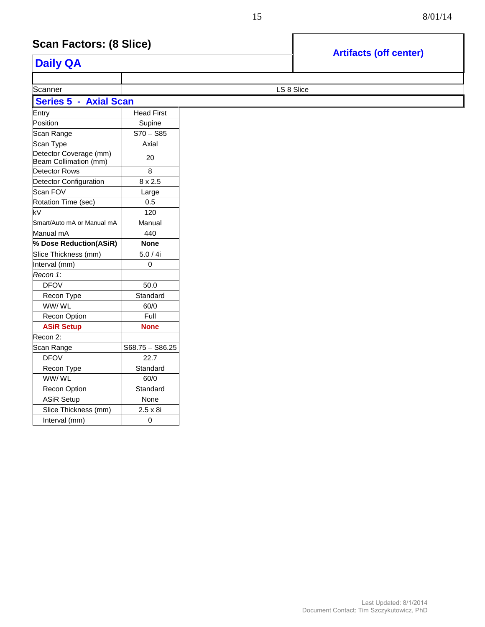#### **Scan Factors: (8 Slice) Artifacts Artifacts Artifacts Artifacts (0)**

|                                                 |                   | <b>Artifacts (off center)</b> |  |
|-------------------------------------------------|-------------------|-------------------------------|--|
| <b>Daily QA</b>                                 |                   |                               |  |
|                                                 |                   |                               |  |
| Scanner                                         | LS 8 Slice        |                               |  |
| <b>Series 5 - Axial Scan</b>                    |                   |                               |  |
| Entry                                           | <b>Head First</b> |                               |  |
| Position                                        | Supine            |                               |  |
| Scan Range                                      | $S70 - S85$       |                               |  |
| Scan Type                                       | Axial             |                               |  |
| Detector Coverage (mm)<br>Beam Collimation (mm) | 20                |                               |  |
| Detector Rows                                   | 8                 |                               |  |
| Detector Configuration                          | $8 \times 2.5$    |                               |  |
| Scan FOV                                        | Large             |                               |  |
| Rotation Time (sec)                             | 0.5               |                               |  |
| kV                                              | 120               |                               |  |
| Smart/Auto mA or Manual mA                      | Manual            |                               |  |
| Manual mA                                       | 440               |                               |  |
| % Dose Reduction(ASiR)                          | <b>None</b>       |                               |  |
| Slice Thickness (mm)                            | 5.0/4i            |                               |  |
| Interval (mm)                                   | 0                 |                               |  |
| Recon 1:                                        |                   |                               |  |
| <b>DFOV</b>                                     | 50.0              |                               |  |
| Recon Type                                      | Standard          |                               |  |
| WW/WL                                           | 60/0              |                               |  |
| Recon Option                                    | Full              |                               |  |
| <b>ASiR Setup</b>                               | <b>None</b>       |                               |  |
| Recon 2:                                        |                   |                               |  |
| Scan Range                                      | $S68.75 - S86.25$ |                               |  |
| <b>DFOV</b>                                     | 22.7              |                               |  |
| Recon Type                                      | Standard          |                               |  |
| WW/WL                                           | 60/0              |                               |  |
| Recon Option                                    | Standard          |                               |  |
| <b>ASiR Setup</b>                               | None              |                               |  |
| Slice Thickness (mm)                            | $2.5 \times 8i$   |                               |  |
| Interval (mm)                                   | $\mathbf 0$       |                               |  |
|                                                 |                   |                               |  |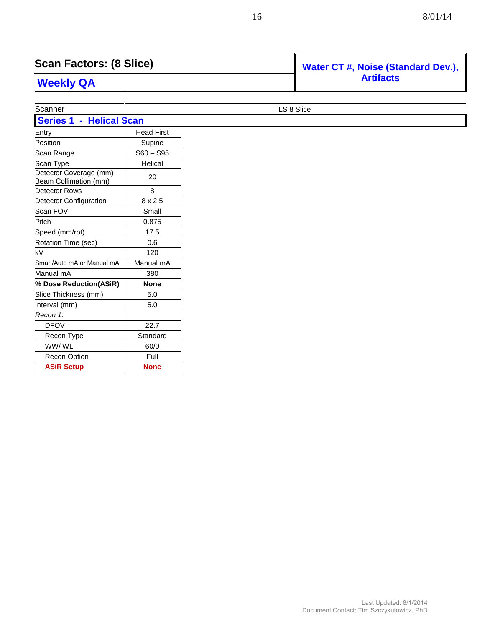| <b>Scan Factors: (8 Slice)</b><br><b>Weekly QA</b> |                   | Water CT #, Noise (Standard Dev.), |
|----------------------------------------------------|-------------------|------------------------------------|
|                                                    |                   | <b>Artifacts</b>                   |
|                                                    |                   |                                    |
| Scanner                                            |                   | LS 8 Slice                         |
| <b>Series 1 - Helical Scan</b>                     |                   |                                    |
| Entry                                              | <b>Head First</b> |                                    |
| Position                                           | Supine            |                                    |
| Scan Range                                         | $S60 - S95$       |                                    |
| Scan Type                                          | Helical           |                                    |
| Detector Coverage (mm)<br>Beam Collimation (mm)    | 20                |                                    |
| Detector Rows                                      | 8                 |                                    |
| Detector Configuration                             | $8 \times 2.5$    |                                    |
| Scan FOV                                           | Small             |                                    |
| Pitch                                              | 0.875             |                                    |
| Speed (mm/rot)                                     | 17.5              |                                    |
| Rotation Time (sec)                                | 0.6               |                                    |
| kV                                                 | 120               |                                    |
| Smart/Auto mA or Manual mA                         | Manual mA         |                                    |
| Manual mA                                          | 380               |                                    |
| % Dose Reduction(ASiR)                             | <b>None</b>       |                                    |
| Slice Thickness (mm)                               | 5.0               |                                    |
| Interval (mm)                                      | $5.0$             |                                    |
| Recon 1:                                           |                   |                                    |
| <b>DFOV</b>                                        | 22.7              |                                    |
| Recon Type                                         | Standard          |                                    |
| WW/WL                                              | 60/0              |                                    |
| Recon Option                                       | Full              |                                    |
| <b>ASiR Setup</b>                                  | <b>None</b>       |                                    |

Г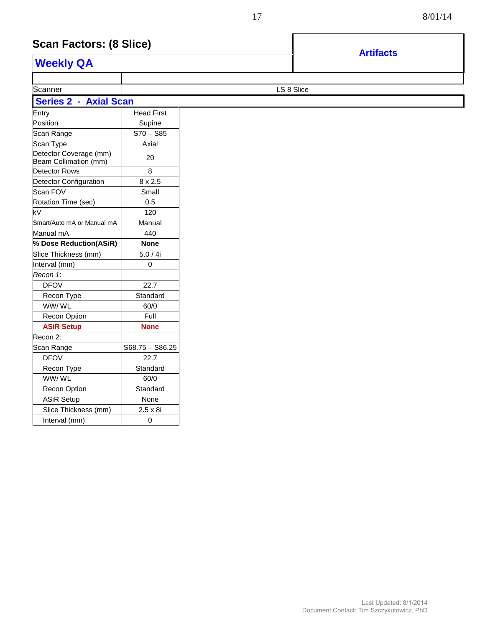### **Scan Factors: (8 Slice)**

| <b>Weekly QA</b>                                |                   |  |
|-------------------------------------------------|-------------------|--|
|                                                 |                   |  |
| Scanner                                         | LS 8 Slice        |  |
| <b>Series 2 - Axial Scan</b>                    |                   |  |
| Entry                                           | <b>Head First</b> |  |
| Position                                        | Supine            |  |
| Scan Range                                      | $S70 - S85$       |  |
| Scan Type                                       | Axial             |  |
| Detector Coverage (mm)<br>Beam Collimation (mm) | 20                |  |
| <b>Detector Rows</b>                            | 8                 |  |
| <b>Detector Configuration</b>                   | $8 \times 2.5$    |  |
| Scan FOV                                        | Small             |  |
| Rotation Time (sec)                             | 0.5               |  |
| kV                                              | 120               |  |
| Smart/Auto mA or Manual mA                      | Manual            |  |
| Manual mA                                       | 440               |  |
| % Dose Reduction(ASiR)                          | <b>None</b>       |  |
| Slice Thickness (mm)                            | 5.0/4i            |  |
| Interval (mm)                                   | 0                 |  |
| Recon 1:                                        |                   |  |
| <b>DFOV</b>                                     | 22.7              |  |
| Recon Type                                      | Standard          |  |
| WW/WL                                           | 60/0              |  |
| Recon Option                                    | Full              |  |
| <b>ASiR Setup</b>                               | <b>None</b>       |  |
| Recon 2:                                        |                   |  |
| Scan Range                                      | $S68.75 - S86.25$ |  |
| <b>DFOV</b>                                     | 22.7              |  |
| Recon Type                                      | Standard          |  |
| WW/WL                                           | 60/0              |  |
| Recon Option                                    | Standard          |  |
| <b>ASiR Setup</b>                               | None              |  |
| Slice Thickness (mm)                            | $2.5 \times 8i$   |  |
| Interval (mm)                                   | $\mathbf 0$       |  |

Document Contact: Tim Szczykutowicz, PhD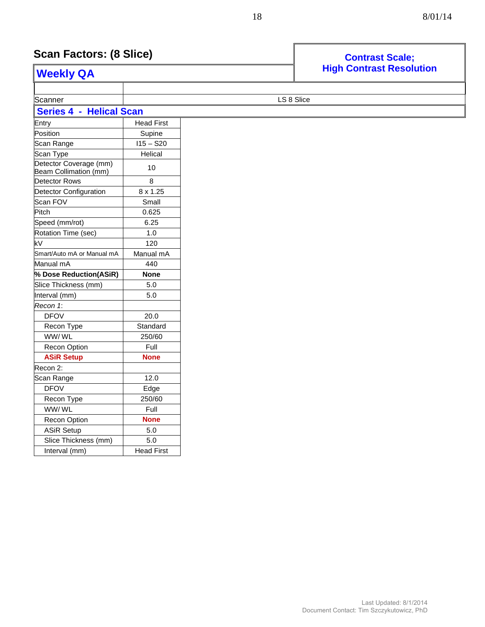## **Scan Factors: (8 Slice)**

Interval (mm) Head First

| Scan Factors: (8 Slice)                         |                                 | <b>Contrast Scale;</b> |  |
|-------------------------------------------------|---------------------------------|------------------------|--|
| <b>Weekly QA</b>                                | <b>High Contrast Resolution</b> |                        |  |
|                                                 |                                 |                        |  |
| Scanner                                         |                                 | LS 8 Slice             |  |
| <b>Series 4 - Helical Scan</b>                  |                                 |                        |  |
| Entry                                           | <b>Head First</b>               |                        |  |
| Position                                        | Supine                          |                        |  |
| Scan Range                                      | $115 - S20$                     |                        |  |
| Scan Type                                       | Helical                         |                        |  |
| Detector Coverage (mm)<br>Beam Collimation (mm) | 10                              |                        |  |
| Detector Rows                                   | 8                               |                        |  |
| Detector Configuration                          | 8 x 1.25                        |                        |  |
| Scan FOV                                        | Small                           |                        |  |
| Pitch                                           | 0.625                           |                        |  |
| Speed (mm/rot)                                  | 6.25                            |                        |  |
| Rotation Time (sec)                             | 1.0                             |                        |  |
| kV                                              | 120                             |                        |  |
| Smart/Auto mA or Manual mA                      | Manual mA                       |                        |  |
| Manual mA                                       | 440                             |                        |  |
| % Dose Reduction(ASiR)                          | <b>None</b>                     |                        |  |
| Slice Thickness (mm)                            | 5.0                             |                        |  |
| Interval (mm)                                   | 5.0                             |                        |  |
| Recon 1:                                        |                                 |                        |  |
| <b>DFOV</b>                                     | 20.0                            |                        |  |
| Recon Type                                      | Standard                        |                        |  |
| WW/WL                                           | 250/60                          |                        |  |
| Recon Option                                    | Full                            |                        |  |
| <b>ASiR Setup</b>                               | <b>None</b>                     |                        |  |
| Recon 2:                                        |                                 |                        |  |
| Scan Range                                      | 12.0                            |                        |  |
| <b>DFOV</b>                                     | Edge                            |                        |  |
| Recon Type                                      | 250/60                          |                        |  |
| WW/WL                                           | Full                            |                        |  |
| Recon Option                                    | <b>None</b>                     |                        |  |
| <b>ASiR Setup</b>                               | 5.0                             |                        |  |
| Slice Thickness (mm)                            | 5.0                             |                        |  |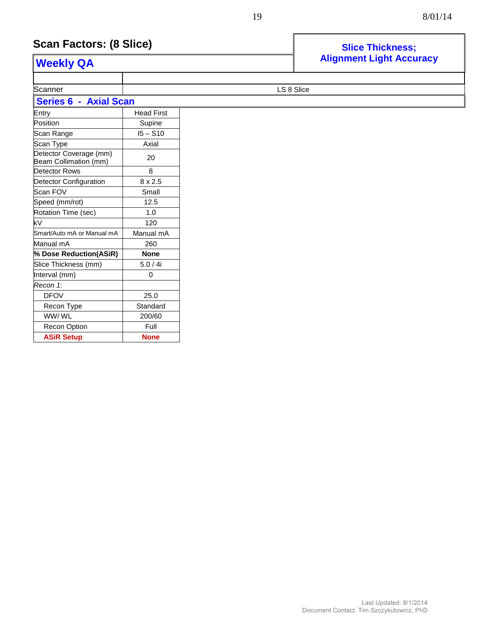## **Scan Factors: (8 Slice) Since This Slice Thickness**;

Recon Option | Full **ASiR Setup None**

| <b>Weekly QA</b>                                |                   | <b>Alignment Light Accuracy</b> |
|-------------------------------------------------|-------------------|---------------------------------|
|                                                 |                   |                                 |
| Scanner                                         |                   | LS 8 Slice                      |
| <b>Series 6 - Axial Scan</b>                    |                   |                                 |
| Entry                                           | <b>Head First</b> |                                 |
| Position                                        | Supine            |                                 |
| Scan Range                                      | $15 - S10$        |                                 |
| Scan Type                                       | Axial             |                                 |
| Detector Coverage (mm)<br>Beam Collimation (mm) | 20                |                                 |
| Detector Rows                                   | 8                 |                                 |
| <b>Detector Configuration</b>                   | $8 \times 2.5$    |                                 |
| Scan FOV                                        | Small             |                                 |
| Speed (mm/rot)                                  | 12.5              |                                 |
| Rotation Time (sec)                             | 1.0               |                                 |
| kV                                              | 120               |                                 |
| Smart/Auto mA or Manual mA                      | Manual mA         |                                 |
| Manual mA                                       | 260               |                                 |
| % Dose Reduction(ASiR)                          | <b>None</b>       |                                 |
| Slice Thickness (mm)                            | 5.0 / 4i          |                                 |
| Interval (mm)                                   | 0                 |                                 |
| Recon 1:                                        |                   |                                 |
| <b>DFOV</b>                                     | 25.0              |                                 |
| Recon Type                                      | Standard          |                                 |
| WW/WL                                           | 200/60            |                                 |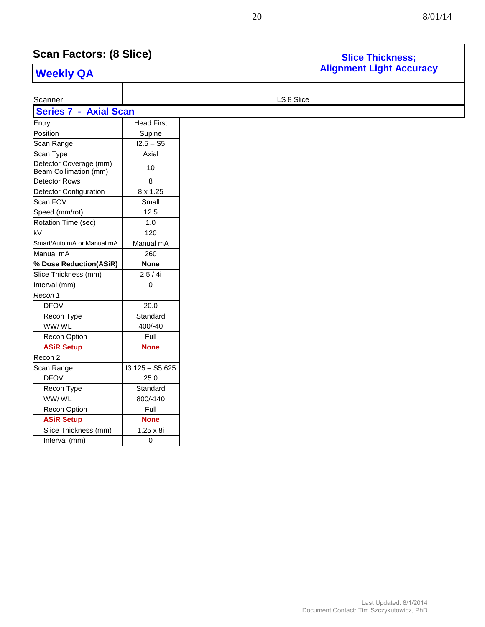#### **Scan Factors: (8 Slice) Scan Factors: (8 Slice) Slice Thickness**;

Interval (mm) 0

#### **Alignment Light Accuracy Weekly QA** Scanner **LS 8 Slice Series 7 - Axial Scan**  Entry **Head First** Position and Supine  $Scan Range$   $12.5 - S5$ Scan Type  $\vert$  Axial Detector Coverage (mm) Beam Collimation (mm) <sup>10</sup> Detector Rows 8 Detector Configuration | 8 x 1.25 Scan FOV Small Speed (mm/rot) 12.5 Rotation Time (sec) 1.0 kV 120 Smart/Auto mA or Manual mA | Manual mA Manual mA 260 **% Dose Reduction(ASiR) None** Slice Thickness (mm) 2.5 / 4i Interval (mm) 0 *Recon 1*: DFOV 20.0 Recon Type **Standard** WW/ WL 400/-40 Recon Option Full **ASiR Setup None** Recon 2:  $Scan Range$   $|13.125 - S5.625$ DFOV 25.0 Recon Type Standard WW/ WL 800/-140 Recon Option **Full ASiR Setup None** Slice Thickness (mm) | 1.25 x 8i

#### Last Updated: 8/1/2014 Document Contact: Tim Szczykutowicz, PhD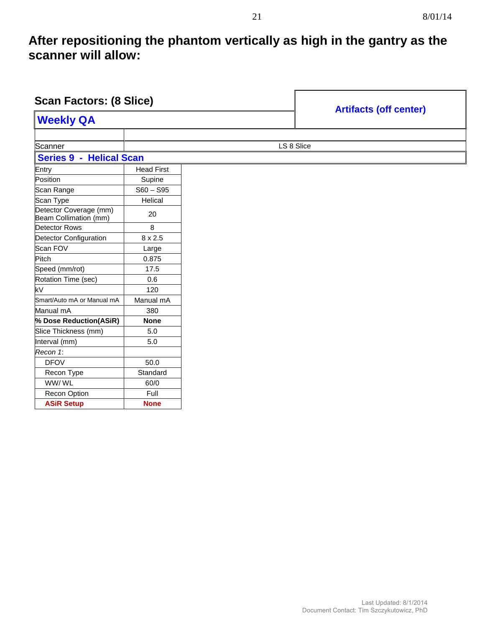### **After repositioning the phantom vertically as high in the gantry as the scanner will allow:**

| <b>Scan Factors: (8 Slice)</b>                  |                   |            |                               |
|-------------------------------------------------|-------------------|------------|-------------------------------|
| <b>Weekly QA</b>                                |                   |            | <b>Artifacts (off center)</b> |
|                                                 |                   |            |                               |
| Scanner                                         |                   | LS 8 Slice |                               |
| Series 9 - Helical Scan                         |                   |            |                               |
| Entry                                           | <b>Head First</b> |            |                               |
| Position                                        | Supine            |            |                               |
| Scan Range                                      | $S60 - S95$       |            |                               |
| Scan Type                                       | Helical           |            |                               |
| Detector Coverage (mm)<br>Beam Collimation (mm) | 20                |            |                               |
| <b>Detector Rows</b>                            | 8                 |            |                               |
| Detector Configuration                          | $8 \times 2.5$    |            |                               |
| Scan FOV                                        | Large             |            |                               |
| Pitch                                           | 0.875             |            |                               |
| Speed (mm/rot)                                  | 17.5              |            |                               |
| Rotation Time (sec)                             | 0.6               |            |                               |
| kV                                              | 120               |            |                               |
| Smart/Auto mA or Manual mA                      | Manual mA         |            |                               |
| Manual mA                                       | 380               |            |                               |
| % Dose Reduction(ASiR)                          | <b>None</b>       |            |                               |
| Slice Thickness (mm)                            | 5.0               |            |                               |
| Interval (mm)                                   | 5.0               |            |                               |
| Recon 1:                                        |                   |            |                               |
| <b>DFOV</b>                                     | 50.0              |            |                               |
| Recon Type                                      | Standard          |            |                               |
| WW/WL                                           | 60/0              |            |                               |
| Recon Option                                    | Full              |            |                               |
| <b>ASiR Setup</b>                               | <b>None</b>       |            |                               |